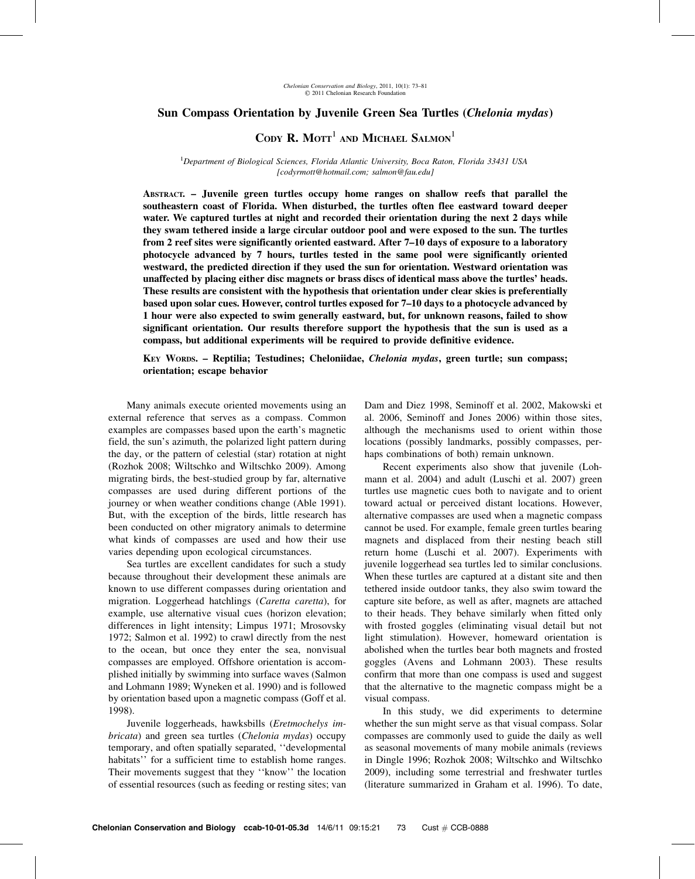# Sun Compass Orientation by Juvenile Green Sea Turtles (Chelonia mydas)

CODY R. MOTT<sup>1</sup> AND MICHAEL SALMON<sup>1</sup>

<sup>1</sup>Department of Biological Sciences, Florida Atlantic University, Boca Raton, Florida 33431 USA [codyrmott@hotmail.com; salmon@fau.edu]

ABSTRACT. – Juvenile green turtles occupy home ranges on shallow reefs that parallel the southeastern coast of Florida. When disturbed, the turtles often flee eastward toward deeper water. We captured turtles at night and recorded their orientation during the next 2 days while they swam tethered inside a large circular outdoor pool and were exposed to the sun. The turtles from 2 reef sites were significantly oriented eastward. After 7–10 days of exposure to a laboratory photocycle advanced by 7 hours, turtles tested in the same pool were significantly oriented westward, the predicted direction if they used the sun for orientation. Westward orientation was unaffected by placing either disc magnets or brass discs of identical mass above the turtles' heads. These results are consistent with the hypothesis that orientation under clear skies is preferentially based upon solar cues. However, control turtles exposed for 7–10 days to a photocycle advanced by 1 hour were also expected to swim generally eastward, but, for unknown reasons, failed to show significant orientation. Our results therefore support the hypothesis that the sun is used as a compass, but additional experiments will be required to provide definitive evidence.

KEY WORDS. – Reptilia; Testudines; Cheloniidae, Chelonia mydas, green turtle; sun compass; orientation; escape behavior

Many animals execute oriented movements using an external reference that serves as a compass. Common examples are compasses based upon the earth's magnetic field, the sun's azimuth, the polarized light pattern during the day, or the pattern of celestial (star) rotation at night (Rozhok 2008; Wiltschko and Wiltschko 2009). Among migrating birds, the best-studied group by far, alternative compasses are used during different portions of the journey or when weather conditions change (Able 1991). But, with the exception of the birds, little research has been conducted on other migratory animals to determine what kinds of compasses are used and how their use varies depending upon ecological circumstances.

Sea turtles are excellent candidates for such a study because throughout their development these animals are known to use different compasses during orientation and migration. Loggerhead hatchlings (Caretta caretta), for example, use alternative visual cues (horizon elevation; differences in light intensity; Limpus 1971; Mrosovsky 1972; Salmon et al. 1992) to crawl directly from the nest to the ocean, but once they enter the sea, nonvisual compasses are employed. Offshore orientation is accomplished initially by swimming into surface waves (Salmon and Lohmann 1989; Wyneken et al. 1990) and is followed by orientation based upon a magnetic compass (Goff et al. 1998).

Juvenile loggerheads, hawksbills (Eretmochelys imbricata) and green sea turtles (Chelonia mydas) occupy temporary, and often spatially separated, ''developmental habitats'' for a sufficient time to establish home ranges. Their movements suggest that they ''know'' the location of essential resources (such as feeding or resting sites; van Dam and Diez 1998, Seminoff et al. 2002, Makowski et al. 2006, Seminoff and Jones 2006) within those sites, although the mechanisms used to orient within those locations (possibly landmarks, possibly compasses, perhaps combinations of both) remain unknown.

Recent experiments also show that juvenile (Lohmann et al. 2004) and adult (Luschi et al. 2007) green turtles use magnetic cues both to navigate and to orient toward actual or perceived distant locations. However, alternative compasses are used when a magnetic compass cannot be used. For example, female green turtles bearing magnets and displaced from their nesting beach still return home (Luschi et al. 2007). Experiments with juvenile loggerhead sea turtles led to similar conclusions. When these turtles are captured at a distant site and then tethered inside outdoor tanks, they also swim toward the capture site before, as well as after, magnets are attached to their heads. They behave similarly when fitted only with frosted goggles (eliminating visual detail but not light stimulation). However, homeward orientation is abolished when the turtles bear both magnets and frosted goggles (Avens and Lohmann 2003). These results confirm that more than one compass is used and suggest that the alternative to the magnetic compass might be a visual compass.

In this study, we did experiments to determine whether the sun might serve as that visual compass. Solar compasses are commonly used to guide the daily as well as seasonal movements of many mobile animals (reviews in Dingle 1996; Rozhok 2008; Wiltschko and Wiltschko 2009), including some terrestrial and freshwater turtles (literature summarized in Graham et al. 1996). To date,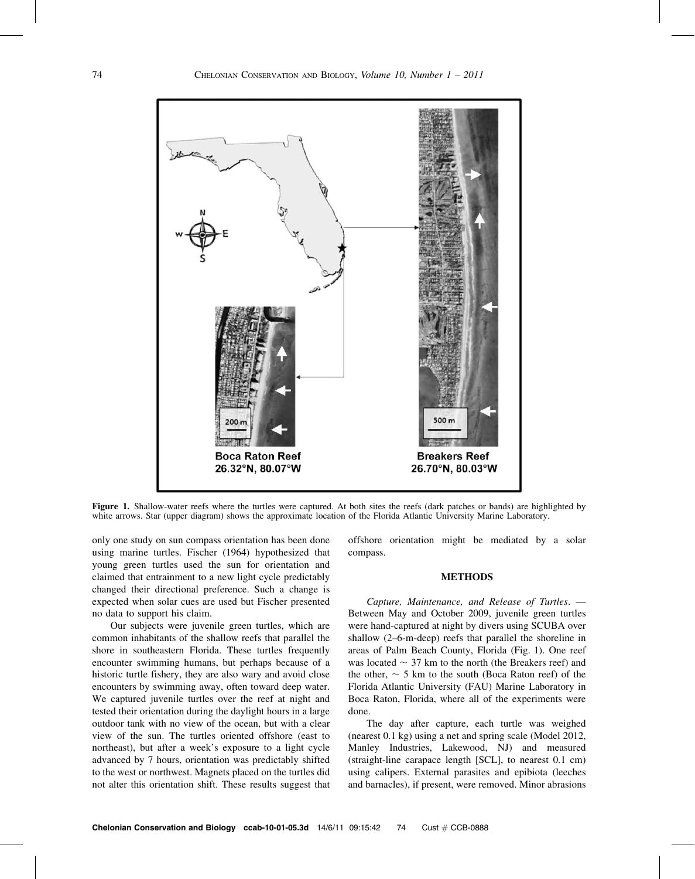

Figure 1. Shallow-water reefs where the turtles were captured. At both sites the reefs (dark patches or bands) are highlighted by white arrows. Star (upper diagram) shows the approximate location of the Florida Atlantic University Marine Laboratory.

only one study on sun compass orientation has been done using marine turtles. Fischer (1964) hypothesized that young green turtles used the sun for orientation and claimed that entrainment to a new light cycle predictably changed their directional preference. Such a change is expected when solar cues are used but Fischer presented no data to support his claim.

Our subjects were juvenile green turtles, which are common inhabitants of the shallow reefs that parallel the shore in southeastern Florida. These turtles frequently encounter swimming humans, but perhaps because of a historic turtle fishery, they are also wary and avoid close encounters by swimming away, often toward deep water. We captured juvenile turtles over the reef at night and tested their orientation during the daylight hours in a large outdoor tank with no view of the ocean, but with a clear view of the sun. The turtles oriented offshore (east to northeast), but after a week's exposure to a light cycle advanced by 7 hours, orientation was predictably shifted to the west or northwest. Magnets placed on the turtles did not alter this orientation shift. These results suggest that

offshore orientation might be mediated by a solar compass.

### METHODS

Capture, Maintenance, and Release of Turtles. — Between May and October 2009, juvenile green turtles were hand-captured at night by divers using SCUBA over shallow (2–6-m-deep) reefs that parallel the shoreline in areas of Palm Beach County, Florida (Fig. 1). One reef was located  $\sim$  37 km to the north (the Breakers reef) and the other,  $\sim$  5 km to the south (Boca Raton reef) of the Florida Atlantic University (FAU) Marine Laboratory in Boca Raton, Florida, where all of the experiments were done.

The day after capture, each turtle was weighed (nearest 0.1 kg) using a net and spring scale (Model 2012, Manley Industries, Lakewood, NJ) and measured (straight-line carapace length [SCL], to nearest 0.1 cm) using calipers. External parasites and epibiota (leeches and barnacles), if present, were removed. Minor abrasions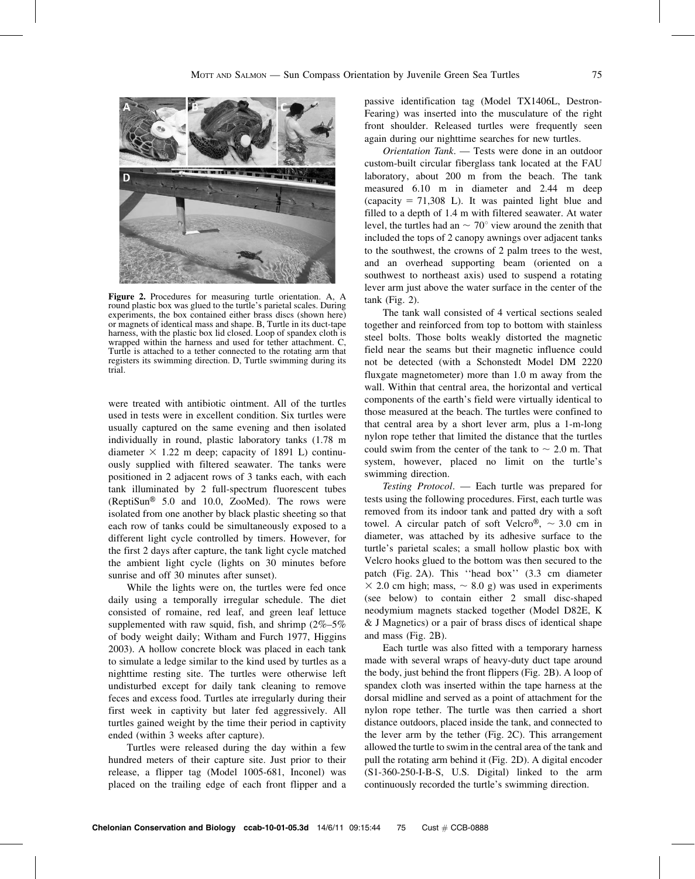

Figure 2. Procedures for measuring turtle orientation. A, A round plastic box was glued to the turtle's parietal scales. During experiments, the box contained either brass discs (shown here) or magnets of identical mass and shape. B, Turtle in its duct-tape harness, with the plastic box lid closed. Loop of spandex cloth is wrapped within the harness and used for tether attachment. C, Turtle is attached to a tether connected to the rotating arm that registers its swimming direction. D, Turtle swimming during its trial.

were treated with antibiotic ointment. All of the turtles used in tests were in excellent condition. Six turtles were usually captured on the same evening and then isolated individually in round, plastic laboratory tanks (1.78 m diameter  $\times$  1.22 m deep; capacity of 1891 L) continuously supplied with filtered seawater. The tanks were positioned in 2 adjacent rows of 3 tanks each, with each tank illuminated by 2 full-spectrum fluorescent tubes (ReptiSun<sup>®</sup> 5.0 and 10.0, ZooMed). The rows were isolated from one another by black plastic sheeting so that each row of tanks could be simultaneously exposed to a different light cycle controlled by timers. However, for the first 2 days after capture, the tank light cycle matched the ambient light cycle (lights on 30 minutes before sunrise and off 30 minutes after sunset).

While the lights were on, the turtles were fed once daily using a temporally irregular schedule. The diet consisted of romaine, red leaf, and green leaf lettuce supplemented with raw squid, fish, and shrimp  $(2\% - 5\%$ of body weight daily; Witham and Furch 1977, Higgins 2003). A hollow concrete block was placed in each tank to simulate a ledge similar to the kind used by turtles as a nighttime resting site. The turtles were otherwise left undisturbed except for daily tank cleaning to remove feces and excess food. Turtles ate irregularly during their first week in captivity but later fed aggressively. All turtles gained weight by the time their period in captivity ended (within 3 weeks after capture).

Turtles were released during the day within a few hundred meters of their capture site. Just prior to their release, a flipper tag (Model 1005-681, Inconel) was placed on the trailing edge of each front flipper and a

passive identification tag (Model TX1406L, Destron-Fearing) was inserted into the musculature of the right front shoulder. Released turtles were frequently seen again during our nighttime searches for new turtles.

Orientation Tank. — Tests were done in an outdoor custom-built circular fiberglass tank located at the FAU laboratory, about 200 m from the beach. The tank measured 6.10 m in diameter and 2.44 m deep (capacity  $= 71,308$  L). It was painted light blue and filled to a depth of 1.4 m with filtered seawater. At water level, the turtles had an  $\sim$  70 $^{\circ}$  view around the zenith that included the tops of 2 canopy awnings over adjacent tanks to the southwest, the crowns of 2 palm trees to the west, and an overhead supporting beam (oriented on a southwest to northeast axis) used to suspend a rotating lever arm just above the water surface in the center of the tank (Fig. 2).

The tank wall consisted of 4 vertical sections sealed together and reinforced from top to bottom with stainless steel bolts. Those bolts weakly distorted the magnetic field near the seams but their magnetic influence could not be detected (with a Schonstedt Model DM 2220 fluxgate magnetometer) more than 1.0 m away from the wall. Within that central area, the horizontal and vertical components of the earth's field were virtually identical to those measured at the beach. The turtles were confined to that central area by a short lever arm, plus a 1-m-long nylon rope tether that limited the distance that the turtles could swim from the center of the tank to  $\sim 2.0$  m. That system, however, placed no limit on the turtle's swimming direction.

Testing Protocol. — Each turtle was prepared for tests using the following procedures. First, each turtle was removed from its indoor tank and patted dry with a soft towel. A circular patch of soft Velcro<sup>®</sup>,  $\sim$  3.0 cm in diameter, was attached by its adhesive surface to the turtle's parietal scales; a small hollow plastic box with Velcro hooks glued to the bottom was then secured to the patch (Fig. 2A). This ''head box'' (3.3 cm diameter  $\times$  2.0 cm high; mass,  $\sim$  8.0 g) was used in experiments (see below) to contain either 2 small disc-shaped neodymium magnets stacked together (Model D82E, K & J Magnetics) or a pair of brass discs of identical shape and mass (Fig. 2B).

Each turtle was also fitted with a temporary harness made with several wraps of heavy-duty duct tape around the body, just behind the front flippers (Fig. 2B). A loop of spandex cloth was inserted within the tape harness at the dorsal midline and served as a point of attachment for the nylon rope tether. The turtle was then carried a short distance outdoors, placed inside the tank, and connected to the lever arm by the tether (Fig. 2C). This arrangement allowed the turtle to swim in the central area of the tank and pull the rotating arm behind it (Fig. 2D). A digital encoder (S1-360-250-I-B-S, U.S. Digital) linked to the arm continuously recorded the turtle's swimming direction.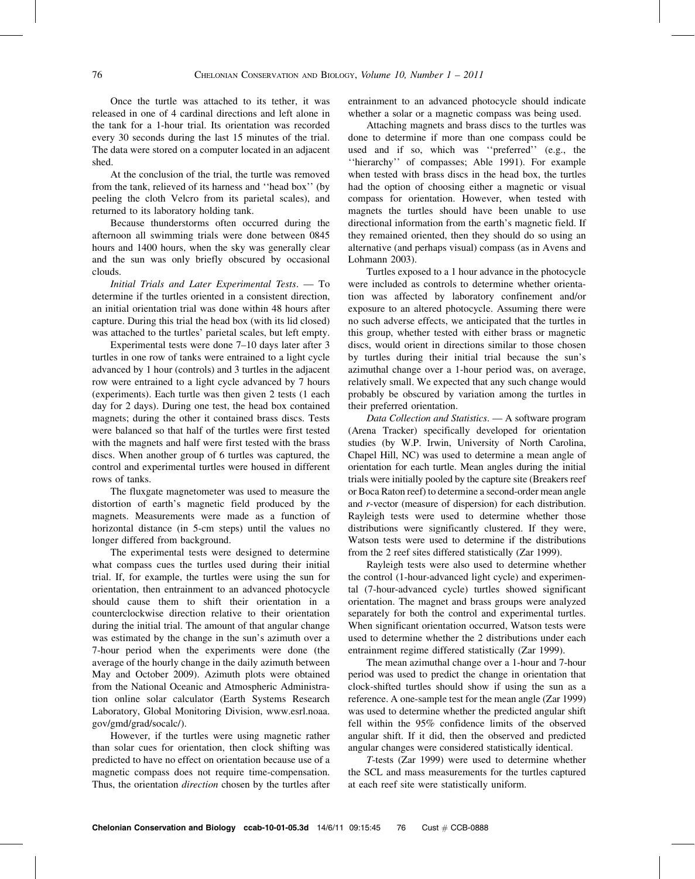Once the turtle was attached to its tether, it was released in one of 4 cardinal directions and left alone in the tank for a 1-hour trial. Its orientation was recorded every 30 seconds during the last 15 minutes of the trial. The data were stored on a computer located in an adjacent shed.

At the conclusion of the trial, the turtle was removed from the tank, relieved of its harness and ''head box'' (by peeling the cloth Velcro from its parietal scales), and returned to its laboratory holding tank.

Because thunderstorms often occurred during the afternoon all swimming trials were done between 0845 hours and 1400 hours, when the sky was generally clear and the sun was only briefly obscured by occasional clouds.

Initial Trials and Later Experimental Tests. — To determine if the turtles oriented in a consistent direction, an initial orientation trial was done within 48 hours after capture. During this trial the head box (with its lid closed) was attached to the turtles' parietal scales, but left empty.

Experimental tests were done 7–10 days later after 3 turtles in one row of tanks were entrained to a light cycle advanced by 1 hour (controls) and 3 turtles in the adjacent row were entrained to a light cycle advanced by 7 hours (experiments). Each turtle was then given 2 tests (1 each day for 2 days). During one test, the head box contained magnets; during the other it contained brass discs. Tests were balanced so that half of the turtles were first tested with the magnets and half were first tested with the brass discs. When another group of 6 turtles was captured, the control and experimental turtles were housed in different rows of tanks.

The fluxgate magnetometer was used to measure the distortion of earth's magnetic field produced by the magnets. Measurements were made as a function of horizontal distance (in 5-cm steps) until the values no longer differed from background.

The experimental tests were designed to determine what compass cues the turtles used during their initial trial. If, for example, the turtles were using the sun for orientation, then entrainment to an advanced photocycle should cause them to shift their orientation in a counterclockwise direction relative to their orientation during the initial trial. The amount of that angular change was estimated by the change in the sun's azimuth over a 7-hour period when the experiments were done (the average of the hourly change in the daily azimuth between May and October 2009). Azimuth plots were obtained from the National Oceanic and Atmospheric Administration online solar calculator (Earth Systems Research Laboratory, Global Monitoring Division, www.esrl.noaa. gov/gmd/grad/socalc/).

However, if the turtles were using magnetic rather than solar cues for orientation, then clock shifting was predicted to have no effect on orientation because use of a magnetic compass does not require time-compensation. Thus, the orientation *direction* chosen by the turtles after

entrainment to an advanced photocycle should indicate whether a solar or a magnetic compass was being used.

Attaching magnets and brass discs to the turtles was done to determine if more than one compass could be used and if so, which was ''preferred'' (e.g., the ''hierarchy'' of compasses; Able 1991). For example when tested with brass discs in the head box, the turtles had the option of choosing either a magnetic or visual compass for orientation. However, when tested with magnets the turtles should have been unable to use directional information from the earth's magnetic field. If they remained oriented, then they should do so using an alternative (and perhaps visual) compass (as in Avens and Lohmann 2003).

Turtles exposed to a 1 hour advance in the photocycle were included as controls to determine whether orientation was affected by laboratory confinement and/or exposure to an altered photocycle. Assuming there were no such adverse effects, we anticipated that the turtles in this group, whether tested with either brass or magnetic discs, would orient in directions similar to those chosen by turtles during their initial trial because the sun's azimuthal change over a 1-hour period was, on average, relatively small. We expected that any such change would probably be obscured by variation among the turtles in their preferred orientation.

Data Collection and Statistics. — A software program (Arena Tracker) specifically developed for orientation studies (by W.P. Irwin, University of North Carolina, Chapel Hill, NC) was used to determine a mean angle of orientation for each turtle. Mean angles during the initial trials were initially pooled by the capture site (Breakers reef or Boca Raton reef) to determine a second-order mean angle and r-vector (measure of dispersion) for each distribution. Rayleigh tests were used to determine whether those distributions were significantly clustered. If they were, Watson tests were used to determine if the distributions from the 2 reef sites differed statistically (Zar 1999).

Rayleigh tests were also used to determine whether the control (1-hour-advanced light cycle) and experimental (7-hour-advanced cycle) turtles showed significant orientation. The magnet and brass groups were analyzed separately for both the control and experimental turtles. When significant orientation occurred, Watson tests were used to determine whether the 2 distributions under each entrainment regime differed statistically (Zar 1999).

The mean azimuthal change over a 1-hour and 7-hour period was used to predict the change in orientation that clock-shifted turtles should show if using the sun as a reference. A one-sample test for the mean angle (Zar 1999) was used to determine whether the predicted angular shift fell within the 95% confidence limits of the observed angular shift. If it did, then the observed and predicted angular changes were considered statistically identical.

T-tests (Zar 1999) were used to determine whether the SCL and mass measurements for the turtles captured at each reef site were statistically uniform.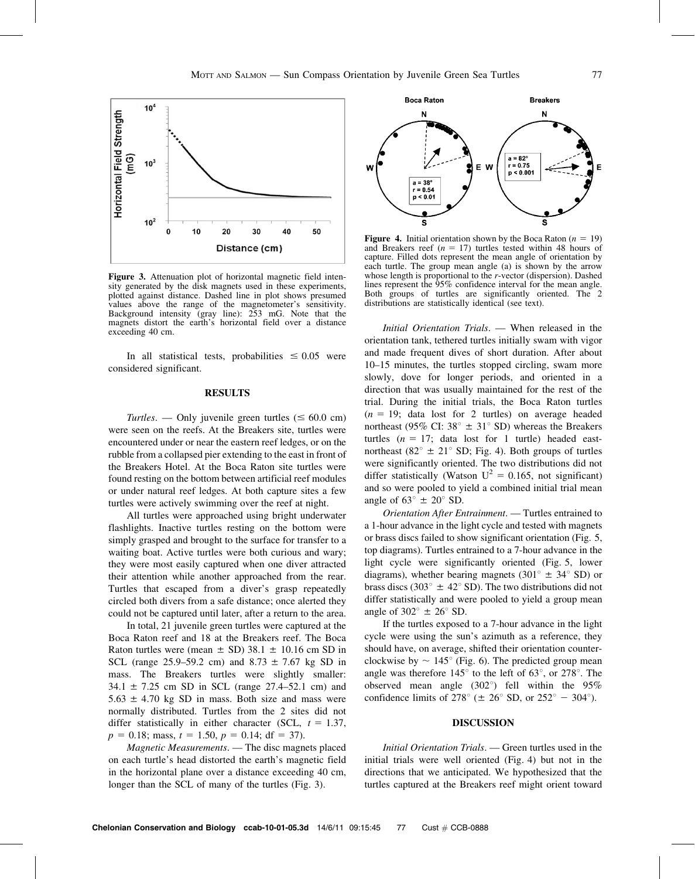

Figure 3. Attenuation plot of horizontal magnetic field intensity generated by the disk magnets used in these experiments, plotted against distance. Dashed line in plot shows presumed values above the range of the magnetometer's sensitivity. Background intensity (gray line): 253 mG. Note that the magnets distort the earth's horizontal field over a distance exceeding 40 cm.

In all statistical tests, probabilities  $\leq 0.05$  were considered significant.

## **RESULTS**

Turtles. — Only juvenile green turtles ( $\leq 60.0$  cm) were seen on the reefs. At the Breakers site, turtles were encountered under or near the eastern reef ledges, or on the rubble from a collapsed pier extending to the east in front of the Breakers Hotel. At the Boca Raton site turtles were found resting on the bottom between artificial reef modules or under natural reef ledges. At both capture sites a few turtles were actively swimming over the reef at night.

All turtles were approached using bright underwater flashlights. Inactive turtles resting on the bottom were simply grasped and brought to the surface for transfer to a waiting boat. Active turtles were both curious and wary; they were most easily captured when one diver attracted their attention while another approached from the rear. Turtles that escaped from a diver's grasp repeatedly circled both divers from a safe distance; once alerted they could not be captured until later, after a return to the area.

In total, 21 juvenile green turtles were captured at the Boca Raton reef and 18 at the Breakers reef. The Boca Raton turtles were (mean  $\pm$  SD) 38.1  $\pm$  10.16 cm SD in SCL (range 25.9–59.2 cm) and  $8.73 \pm 7.67$  kg SD in mass. The Breakers turtles were slightly smaller: 34.1  $\pm$  7.25 cm SD in SCL (range 27.4–52.1 cm) and  $5.63 \pm 4.70$  kg SD in mass. Both size and mass were normally distributed. Turtles from the 2 sites did not differ statistically in either character (SCL,  $t = 1.37$ ,  $p = 0.18$ ; mass,  $t = 1.50$ ,  $p = 0.14$ ; df = 37).

Magnetic Measurements. — The disc magnets placed on each turtle's head distorted the earth's magnetic field in the horizontal plane over a distance exceeding 40 cm, longer than the SCL of many of the turtles (Fig. 3).



**Figure 4.** Initial orientation shown by the Boca Raton ( $n = 19$ ) and Breakers reef ( $n = 17$ ) turtles tested within 48 hours of capture. Filled dots represent the mean angle of orientation by each turtle. The group mean angle (a) is shown by the arrow whose length is proportional to the r-vector (dispersion). Dashed lines represent the 95% confidence interval for the mean angle. Both groups of turtles are significantly oriented. The 2 distributions are statistically identical (see text).

Initial Orientation Trials. — When released in the orientation tank, tethered turtles initially swam with vigor and made frequent dives of short duration. After about 10–15 minutes, the turtles stopped circling, swam more slowly, dove for longer periods, and oriented in a direction that was usually maintained for the rest of the trial. During the initial trials, the Boca Raton turtles  $(n = 19;$  data lost for 2 turtles) on average headed northeast (95% CI: 38 $\degree$   $\pm$  31 $\degree$  SD) whereas the Breakers turtles  $(n = 17;$  data lost for 1 turtle) headed eastnortheast (82 $\degree$  ± 21 $\degree$  SD; Fig. 4). Both groups of turtles were significantly oriented. The two distributions did not differ statistically (Watson  $U^2 = 0.165$ , not significant) and so were pooled to yield a combined initial trial mean angle of  $63^{\circ} \pm 20^{\circ}$  SD.

Orientation After Entrainment. — Turtles entrained to a 1-hour advance in the light cycle and tested with magnets or brass discs failed to show significant orientation (Fig. 5, top diagrams). Turtles entrained to a 7-hour advance in the light cycle were significantly oriented (Fig. 5, lower diagrams), whether bearing magnets (301 $\degree$   $\pm$  34 $\degree$  SD) or brass discs (303 $\degree$  ± 42 $\degree$  SD). The two distributions did not differ statistically and were pooled to yield a group mean angle of  $302^{\circ} \pm 26^{\circ}$  SD.

If the turtles exposed to a 7-hour advance in the light cycle were using the sun's azimuth as a reference, they should have, on average, shifted their orientation counterclockwise by  $\sim 145^{\circ}$  (Fig. 6). The predicted group mean angle was therefore  $145^{\circ}$  to the left of 63 $^{\circ}$ , or 278 $^{\circ}$ . The observed mean angle  $(302^{\circ})$  fell within the 95% confidence limits of 278 $^{\circ}$  ( $\pm$  26 $^{\circ}$  SD, or 252 $^{\circ}$  - 304 $^{\circ}$ ).

### DISCUSSION

Initial Orientation Trials. — Green turtles used in the initial trials were well oriented (Fig. 4) but not in the directions that we anticipated. We hypothesized that the turtles captured at the Breakers reef might orient toward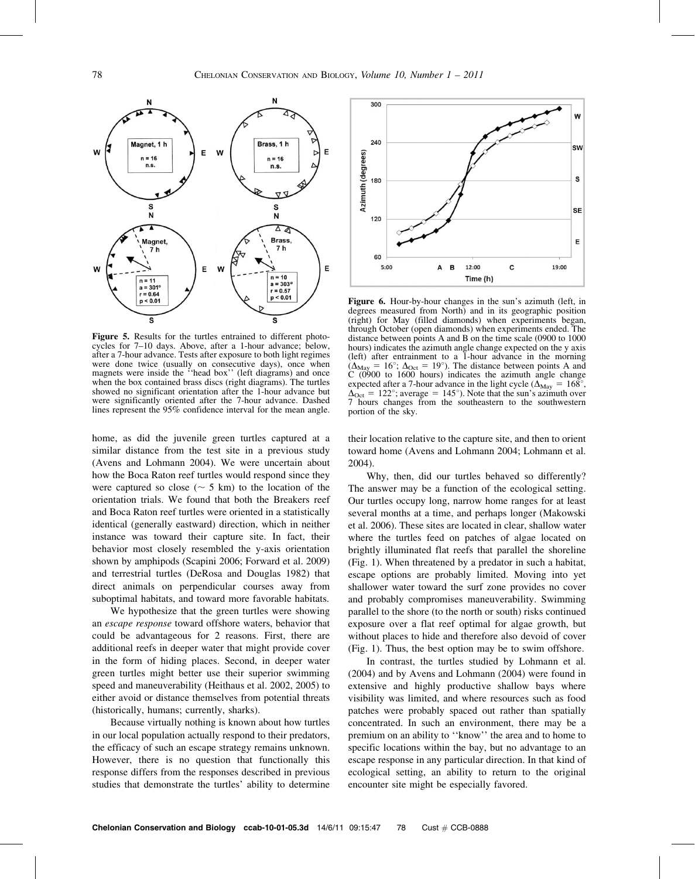

Figure 5. Results for the turtles entrained to different photocycles for 7–10 days. Above, after a 1-hour advance; below, after a 7-hour advance. Tests after exposure to both light regimes were done twice (usually on consecutive days), once when magnets were inside the "head box" (left diagrams) and once when the box contained brass discs (right diagrams). The turtles showed no significant orientation after the 1-hour advance but were significantly oriented after the 7-hour advance. Dashed lines represent the 95% confidence interval for the mean angle.

home, as did the juvenile green turtles captured at a similar distance from the test site in a previous study (Avens and Lohmann 2004). We were uncertain about how the Boca Raton reef turtles would respond since they were captured so close ( $\sim$  5 km) to the location of the orientation trials. We found that both the Breakers reef and Boca Raton reef turtles were oriented in a statistically identical (generally eastward) direction, which in neither instance was toward their capture site. In fact, their behavior most closely resembled the y-axis orientation shown by amphipods (Scapini 2006; Forward et al. 2009) and terrestrial turtles (DeRosa and Douglas 1982) that direct animals on perpendicular courses away from suboptimal habitats, and toward more favorable habitats.

We hypothesize that the green turtles were showing an escape response toward offshore waters, behavior that could be advantageous for 2 reasons. First, there are additional reefs in deeper water that might provide cover in the form of hiding places. Second, in deeper water green turtles might better use their superior swimming speed and maneuverability (Heithaus et al. 2002, 2005) to either avoid or distance themselves from potential threats (historically, humans; currently, sharks).

Because virtually nothing is known about how turtles in our local population actually respond to their predators, the efficacy of such an escape strategy remains unknown. However, there is no question that functionally this response differs from the responses described in previous studies that demonstrate the turtles' ability to determine



Figure 6. Hour-by-hour changes in the sun's azimuth (left, in degrees measured from North) and in its geographic position (right) for May (filled diamonds) when experiments began, through October (open diamonds) when experiments ended. The distance between points A and B on the time scale (0900 to 1000 hours) indicates the azimuth angle change expected on the y axis (left) after entrainment to a 1-hour advance in the morning  $(\Delta_{\text{Mav}} = 16^{\circ}; \Delta_{\text{Oct}} = 19^{\circ})$ . The distance between points A and C (0900 to 1600 hours) indicates the azimuth angle change expected after a 7-hour advance in the light cycle ( $\Delta_{\text{May}} = 168^{\circ}$ ,  $\Delta_{\text{Oct}} = 122^{\circ}$ ; average = 145°). Note that the sun's azimuth over 7 hours changes from the southeastern to the southwestern portion of the sky.

their location relative to the capture site, and then to orient toward home (Avens and Lohmann 2004; Lohmann et al. 2004).

Why, then, did our turtles behaved so differently? The answer may be a function of the ecological setting. Our turtles occupy long, narrow home ranges for at least several months at a time, and perhaps longer (Makowski et al. 2006). These sites are located in clear, shallow water where the turtles feed on patches of algae located on brightly illuminated flat reefs that parallel the shoreline (Fig. 1). When threatened by a predator in such a habitat, escape options are probably limited. Moving into yet shallower water toward the surf zone provides no cover and probably compromises maneuverability. Swimming parallel to the shore (to the north or south) risks continued exposure over a flat reef optimal for algae growth, but without places to hide and therefore also devoid of cover (Fig. 1). Thus, the best option may be to swim offshore.

In contrast, the turtles studied by Lohmann et al. (2004) and by Avens and Lohmann (2004) were found in extensive and highly productive shallow bays where visibility was limited, and where resources such as food patches were probably spaced out rather than spatially concentrated. In such an environment, there may be a premium on an ability to ''know'' the area and to home to specific locations within the bay, but no advantage to an escape response in any particular direction. In that kind of ecological setting, an ability to return to the original encounter site might be especially favored.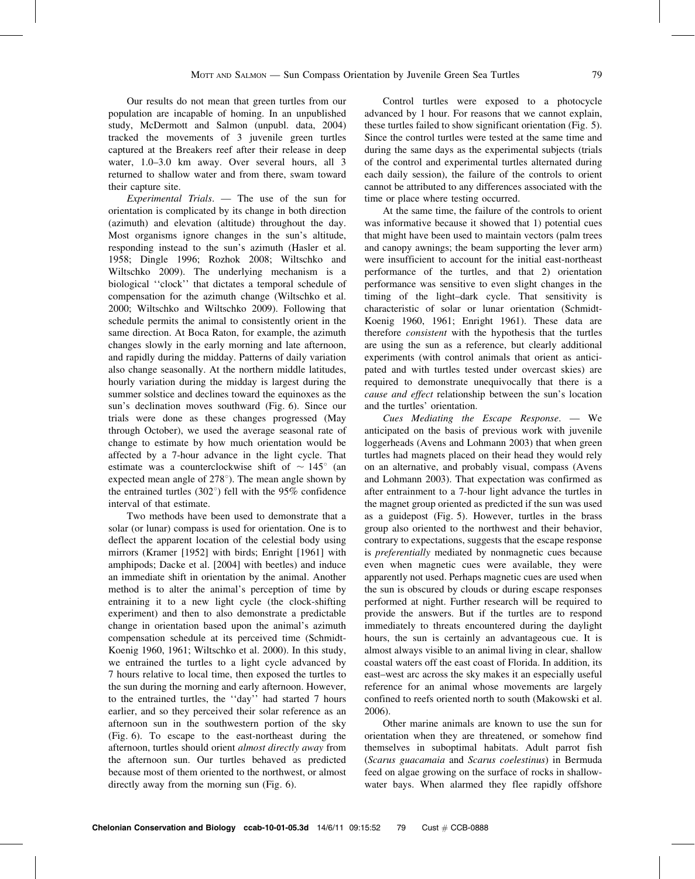Our results do not mean that green turtles from our population are incapable of homing. In an unpublished study, McDermott and Salmon (unpubl. data, 2004) tracked the movements of 3 juvenile green turtles captured at the Breakers reef after their release in deep water, 1.0–3.0 km away. Over several hours, all 3 returned to shallow water and from there, swam toward their capture site.

Experimental Trials. — The use of the sun for orientation is complicated by its change in both direction (azimuth) and elevation (altitude) throughout the day. Most organisms ignore changes in the sun's altitude, responding instead to the sun's azimuth (Hasler et al. 1958; Dingle 1996; Rozhok 2008; Wiltschko and Wiltschko 2009). The underlying mechanism is a biological ''clock'' that dictates a temporal schedule of compensation for the azimuth change (Wiltschko et al. 2000; Wiltschko and Wiltschko 2009). Following that schedule permits the animal to consistently orient in the same direction. At Boca Raton, for example, the azimuth changes slowly in the early morning and late afternoon, and rapidly during the midday. Patterns of daily variation also change seasonally. At the northern middle latitudes, hourly variation during the midday is largest during the summer solstice and declines toward the equinoxes as the sun's declination moves southward (Fig. 6). Since our trials were done as these changes progressed (May through October), we used the average seasonal rate of change to estimate by how much orientation would be affected by a 7-hour advance in the light cycle. That estimate was a counterclockwise shift of  $\sim 145^{\circ}$  (an expected mean angle of  $278^{\circ}$ ). The mean angle shown by the entrained turtles  $(302^{\circ})$  fell with the 95% confidence interval of that estimate.

Two methods have been used to demonstrate that a solar (or lunar) compass is used for orientation. One is to deflect the apparent location of the celestial body using mirrors (Kramer [1952] with birds; Enright [1961] with amphipods; Dacke et al. [2004] with beetles) and induce an immediate shift in orientation by the animal. Another method is to alter the animal's perception of time by entraining it to a new light cycle (the clock-shifting experiment) and then to also demonstrate a predictable change in orientation based upon the animal's azimuth compensation schedule at its perceived time (Schmidt-Koenig 1960, 1961; Wiltschko et al. 2000). In this study, we entrained the turtles to a light cycle advanced by 7 hours relative to local time, then exposed the turtles to the sun during the morning and early afternoon. However, to the entrained turtles, the ''day'' had started 7 hours earlier, and so they perceived their solar reference as an afternoon sun in the southwestern portion of the sky (Fig. 6). To escape to the east-northeast during the afternoon, turtles should orient almost directly away from the afternoon sun. Our turtles behaved as predicted because most of them oriented to the northwest, or almost directly away from the morning sun (Fig. 6).

Control turtles were exposed to a photocycle advanced by 1 hour. For reasons that we cannot explain, these turtles failed to show significant orientation (Fig. 5). Since the control turtles were tested at the same time and during the same days as the experimental subjects (trials of the control and experimental turtles alternated during each daily session), the failure of the controls to orient cannot be attributed to any differences associated with the time or place where testing occurred.

At the same time, the failure of the controls to orient was informative because it showed that 1) potential cues that might have been used to maintain vectors (palm trees and canopy awnings; the beam supporting the lever arm) were insufficient to account for the initial east-northeast performance of the turtles, and that 2) orientation performance was sensitive to even slight changes in the timing of the light–dark cycle. That sensitivity is characteristic of solar or lunar orientation (Schmidt-Koenig 1960, 1961; Enright 1961). These data are therefore consistent with the hypothesis that the turtles are using the sun as a reference, but clearly additional experiments (with control animals that orient as anticipated and with turtles tested under overcast skies) are required to demonstrate unequivocally that there is a cause and effect relationship between the sun's location and the turtles' orientation.

Cues Mediating the Escape Response. — We anticipated on the basis of previous work with juvenile loggerheads (Avens and Lohmann 2003) that when green turtles had magnets placed on their head they would rely on an alternative, and probably visual, compass (Avens and Lohmann 2003). That expectation was confirmed as after entrainment to a 7-hour light advance the turtles in the magnet group oriented as predicted if the sun was used as a guidepost (Fig. 5). However, turtles in the brass group also oriented to the northwest and their behavior, contrary to expectations, suggests that the escape response is preferentially mediated by nonmagnetic cues because even when magnetic cues were available, they were apparently not used. Perhaps magnetic cues are used when the sun is obscured by clouds or during escape responses performed at night. Further research will be required to provide the answers. But if the turtles are to respond immediately to threats encountered during the daylight hours, the sun is certainly an advantageous cue. It is almost always visible to an animal living in clear, shallow coastal waters off the east coast of Florida. In addition, its east–west arc across the sky makes it an especially useful reference for an animal whose movements are largely confined to reefs oriented north to south (Makowski et al. 2006).

Other marine animals are known to use the sun for orientation when they are threatened, or somehow find themselves in suboptimal habitats. Adult parrot fish (Scarus guacamaia and Scarus coelestinus) in Bermuda feed on algae growing on the surface of rocks in shallowwater bays. When alarmed they flee rapidly offshore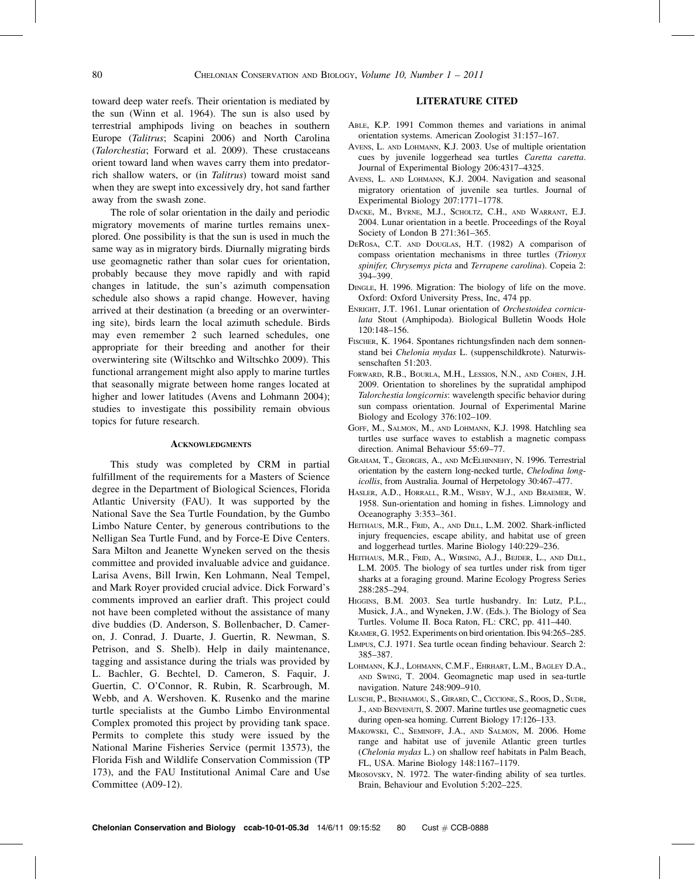toward deep water reefs. Their orientation is mediated by the sun (Winn et al. 1964). The sun is also used by terrestrial amphipods living on beaches in southern Europe (Talitrus; Scapini 2006) and North Carolina (Talorchestia; Forward et al. 2009). These crustaceans orient toward land when waves carry them into predatorrich shallow waters, or (in Talitrus) toward moist sand when they are swept into excessively dry, hot sand farther away from the swash zone.

The role of solar orientation in the daily and periodic migratory movements of marine turtles remains unexplored. One possibility is that the sun is used in much the same way as in migratory birds. Diurnally migrating birds use geomagnetic rather than solar cues for orientation, probably because they move rapidly and with rapid changes in latitude, the sun's azimuth compensation schedule also shows a rapid change. However, having arrived at their destination (a breeding or an overwintering site), birds learn the local azimuth schedule. Birds may even remember 2 such learned schedules, one appropriate for their breeding and another for their overwintering site (Wiltschko and Wiltschko 2009). This functional arrangement might also apply to marine turtles that seasonally migrate between home ranges located at higher and lower latitudes (Avens and Lohmann 2004); studies to investigate this possibility remain obvious topics for future research.

#### **ACKNOWLEDGMENTS**

This study was completed by CRM in partial fulfillment of the requirements for a Masters of Science degree in the Department of Biological Sciences, Florida Atlantic University (FAU). It was supported by the National Save the Sea Turtle Foundation, by the Gumbo Limbo Nature Center, by generous contributions to the Nelligan Sea Turtle Fund, and by Force-E Dive Centers. Sara Milton and Jeanette Wyneken served on the thesis committee and provided invaluable advice and guidance. Larisa Avens, Bill Irwin, Ken Lohmann, Neal Tempel, and Mark Royer provided crucial advice. Dick Forward's comments improved an earlier draft. This project could not have been completed without the assistance of many dive buddies (D. Anderson, S. Bollenbacher, D. Cameron, J. Conrad, J. Duarte, J. Guertin, R. Newman, S. Petrison, and S. Shelb). Help in daily maintenance, tagging and assistance during the trials was provided by L. Bachler, G. Bechtel, D. Cameron, S. Faquir, J. Guertin, C. O'Connor, R. Rubin, R. Scarbrough, M. Webb, and A. Wershoven. K. Rusenko and the marine turtle specialists at the Gumbo Limbo Environmental Complex promoted this project by providing tank space. Permits to complete this study were issued by the National Marine Fisheries Service (permit 13573), the Florida Fish and Wildlife Conservation Commission (TP 173), and the FAU Institutional Animal Care and Use Committee (A09-12).

## LITERATURE CITED

- ABLE, K.P. 1991 Common themes and variations in animal orientation systems. American Zoologist 31:157–167.
- AVENS, L. AND LOHMANN, K.J. 2003. Use of multiple orientation cues by juvenile loggerhead sea turtles Caretta caretta. Journal of Experimental Biology 206:4317–4325.
- AVENS, L. AND LOHMANN, K.J. 2004. Navigation and seasonal migratory orientation of juvenile sea turtles. Journal of Experimental Biology 207:1771–1778.
- DACKE, M., BYRNE, M.J., SCHOLTZ, C.H., AND WARRANT, E.J. 2004. Lunar orientation in a beetle. Proceedings of the Royal Society of London B 271:361–365.
- DEROSA, C.T. AND DOUGLAS, H.T. (1982) A comparison of compass orientation mechanisms in three turtles (Trionyx spinifer, Chrysemys picta and Terrapene carolina). Copeia 2: 394–399.
- DINGLE, H. 1996. Migration: The biology of life on the move. Oxford: Oxford University Press, Inc, 474 pp.
- ENRIGHT, J.T. 1961. Lunar orientation of Orchestoidea corniculata Stout (Amphipoda). Biological Bulletin Woods Hole 120:148–156.
- FISCHER, K. 1964. Spontanes richtungsfinden nach dem sonnenstand bei Chelonia mydas L. (suppenschildkrote). Naturwissenschaften 51:203.
- FORWARD, R.B., BOURLA, M.H., LESSIOS, N.N., AND COHEN, J.H. 2009. Orientation to shorelines by the supratidal amphipod Talorchestia longicornis: wavelength specific behavior during sun compass orientation. Journal of Experimental Marine Biology and Ecology 376:102–109.
- GOFF, M., SALMON, M., AND LOHMANN, K.J. 1998. Hatchling sea turtles use surface waves to establish a magnetic compass direction. Animal Behaviour 55:69–77.
- GRAHAM, T., GEORGES, A., AND MCELHINNEHY, N. 1996. Terrestrial orientation by the eastern long-necked turtle, Chelodina longicollis, from Australia. Journal of Herpetology 30:467–477.
- HASLER, A.D., HORRALL, R.M., WISBY, W.J., AND BRAEMER, W. 1958. Sun-orientation and homing in fishes. Limnology and Oceanography 3:353–361.
- HEITHAUS, M.R., FRID, A., AND DILL, L.M. 2002. Shark-inflicted injury frequencies, escape ability, and habitat use of green and loggerhead turtles. Marine Biology 140:229–236.
- HEITHAUS, M.R., FRID, A., WIRSING, A.J., BEJDER, L., AND DILL, L.M. 2005. The biology of sea turtles under risk from tiger sharks at a foraging ground. Marine Ecology Progress Series 288:285–294.
- HIGGINS, B.M. 2003. Sea turtle husbandry. In: Lutz, P.L., Musick, J.A., and Wyneken, J.W. (Eds.). The Biology of Sea Turtles. Volume II. Boca Raton, FL: CRC, pp. 411–440.
- KRAMER, G. 1952. Experiments on bird orientation. Ibis 94:265–285.
- LIMPUS, C.J. 1971. Sea turtle ocean finding behaviour. Search 2: 385–387.
- LOHMANN, K.J., LOHMANN, C.M.F., EHRHART, L.M., BAGLEY D.A., AND SWING, T. 2004. Geomagnetic map used in sea-turtle navigation. Nature 248:909–910.
- LUSCHI, P., BENHAMOU, S., GIRARD, C., CICCIONE, S., ROOS, D., SUDR, J., AND BENVENUTI, S. 2007. Marine turtles use geomagnetic cues during open-sea homing. Current Biology 17:126–133.
- MAKOWSKI, C., SEMINOFF, J.A., AND SALMON, M. 2006. Home range and habitat use of juvenile Atlantic green turtles (Chelonia mydas L.) on shallow reef habitats in Palm Beach, FL, USA. Marine Biology 148:1167–1179.
- MROSOVSKY, N. 1972. The water-finding ability of sea turtles. Brain, Behaviour and Evolution 5:202–225.